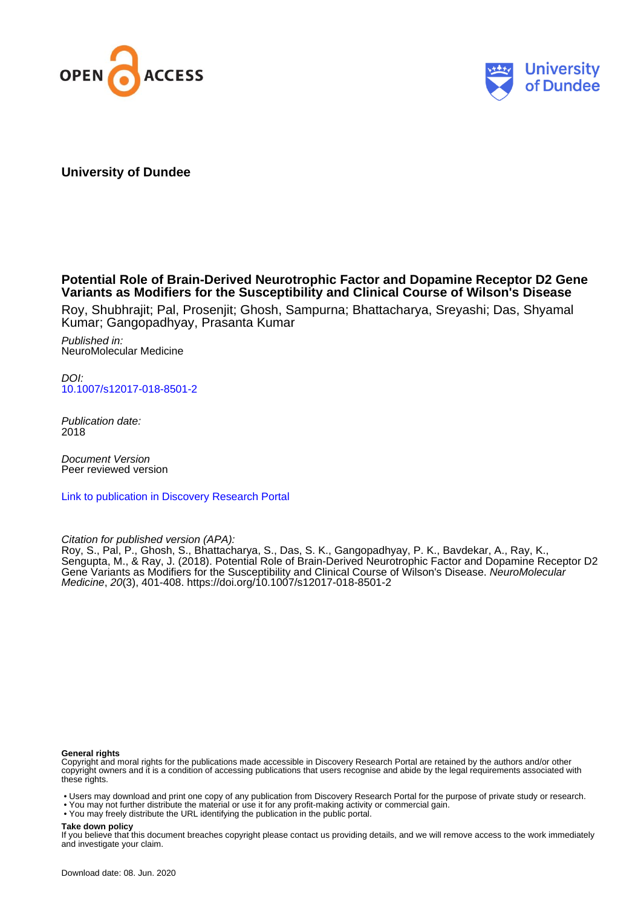



## **University of Dundee**

## **Potential Role of Brain-Derived Neurotrophic Factor and Dopamine Receptor D2 Gene Variants as Modifiers for the Susceptibility and Clinical Course of Wilson's Disease**

Roy, Shubhrajit; Pal, Prosenjit; Ghosh, Sampurna; Bhattacharya, Sreyashi; Das, Shyamal Kumar; Gangopadhyay, Prasanta Kumar

Published in: NeuroMolecular Medicine

 $D$ [10.1007/s12017-018-8501-2](https://doi.org/10.1007/s12017-018-8501-2)

Publication date: 2018

Document Version Peer reviewed version

[Link to publication in Discovery Research Portal](https://discovery.dundee.ac.uk/en/publications/de3c4f45-0fa5-48c2-a34c-6a268e0c28f1)

Citation for published version (APA):

Roy, S., Pal, P., Ghosh, S., Bhattacharya, S., Das, S. K., Gangopadhyay, P. K., Bavdekar, A., Ray, K., Sengupta, M., & Ray, J. (2018). Potential Role of Brain-Derived Neurotrophic Factor and Dopamine Receptor D2 Gene Variants as Modifiers for the Susceptibility and Clinical Course of Wilson's Disease. NeuroMolecular Medicine, 20(3), 401-408. <https://doi.org/10.1007/s12017-018-8501-2>

#### **General rights**

Copyright and moral rights for the publications made accessible in Discovery Research Portal are retained by the authors and/or other copyright owners and it is a condition of accessing publications that users recognise and abide by the legal requirements associated with these rights.

• Users may download and print one copy of any publication from Discovery Research Portal for the purpose of private study or research.

- You may not further distribute the material or use it for any profit-making activity or commercial gain.
- You may freely distribute the URL identifying the publication in the public portal.

#### **Take down policy**

If you believe that this document breaches copyright please contact us providing details, and we will remove access to the work immediately and investigate your claim.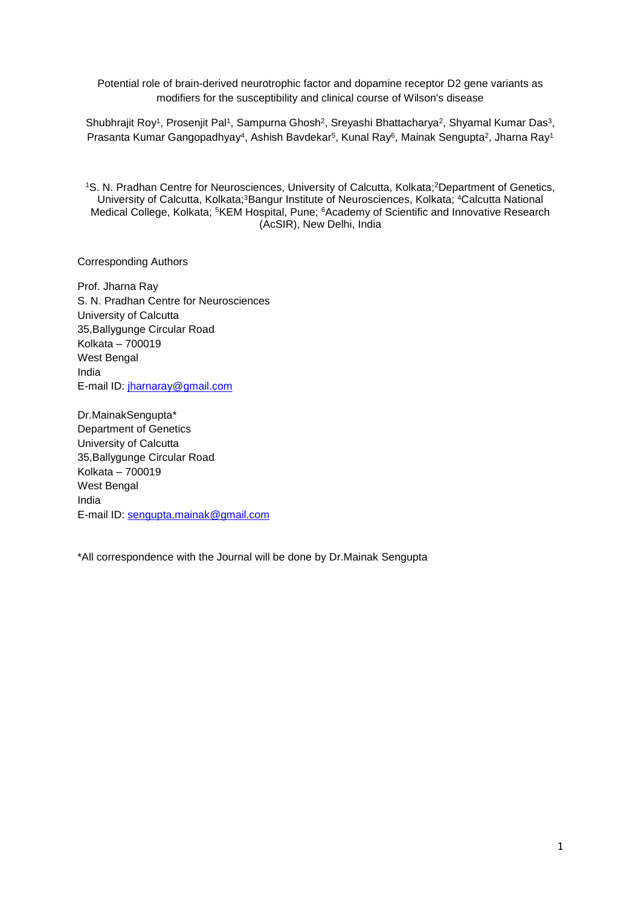Potential role of brain-derived neurotrophic factor and dopamine receptor D2 gene variants as modifiers for the susceptibility and clinical course of Wilson's disease

Shubhrajit Roy<sup>1</sup>, Prosenjit Pal<sup>1</sup>, Sampurna Ghosh<sup>2</sup>, Sreyashi Bhattacharya<sup>2</sup>, Shyamal Kumar Das<sup>3</sup>, Prasanta Kumar Gangopadhyay<sup>4</sup>, Ashish Bavdekar<sup>5</sup>, Kunal Ray<sup>6</sup>, Mainak Sengupta<sup>2</sup>, Jharna Ray<sup>1</sup>

<sup>1</sup>S. N. Pradhan Centre for Neurosciences, University of Calcutta, Kolkata;<sup>2</sup>Department of Genetics, University of Calcutta, Kolkata;<sup>3</sup>Bangur Institute of Neurosciences, Kolkata; <sup>4</sup>Calcutta National Medical College, Kolkata; <sup>5</sup>KEM Hospital, Pune; <sup>6</sup>Academy of Scientific and Innovative Research (AcSIR), New Delhi, India

Corresponding Authors

Prof. Jharna Ray S. N. Pradhan Centre for Neurosciences University of Calcutta 35,Ballygunge Circular Road Kolkata – 700019 West Bengal India E-mail ID: [jharnaray@gmail.com](mailto:jharnaray@gmail.com)

Dr.MainakSengupta\* Department of Genetics University of Calcutta 35,Ballygunge Circular Road Kolkata – 700019 West Bengal India E-mail ID: [sengupta.mainak@gmail.com](mailto:sengupta.mainak@gmail.com)

\*All correspondence with the Journal will be done by Dr.Mainak Sengupta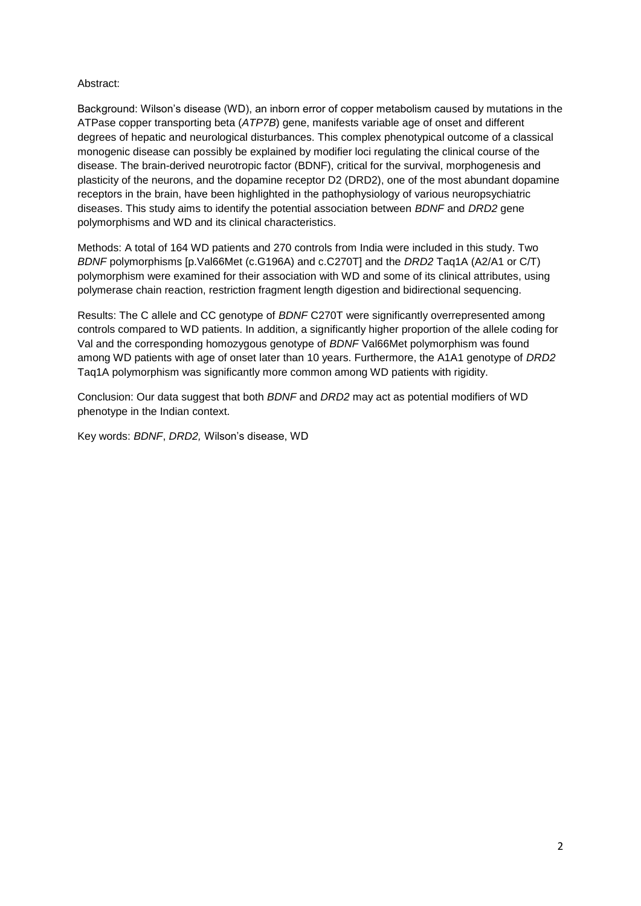#### Abstract:

Background: Wilson's disease (WD), an inborn error of copper metabolism caused by mutations in the ATPase copper transporting beta (*ATP7B*) gene, manifests variable age of onset and different degrees of hepatic and neurological disturbances. This complex phenotypical outcome of a classical monogenic disease can possibly be explained by modifier loci regulating the clinical course of the disease. The brain-derived neurotropic factor (BDNF), critical for the survival, morphogenesis and plasticity of the neurons, and the dopamine receptor D2 (DRD2), one of the most abundant dopamine receptors in the brain, have been highlighted in the pathophysiology of various neuropsychiatric diseases. This study aims to identify the potential association between *BDNF* and *DRD2* gene polymorphisms and WD and its clinical characteristics.

Methods: A total of 164 WD patients and 270 controls from India were included in this study. Two *BDNF* polymorphisms [p.Val66Met (c.G196A) and c.C270T] and the *DRD2* Taq1A (A2/A1 or C/T) polymorphism were examined for their association with WD and some of its clinical attributes, using polymerase chain reaction, restriction fragment length digestion and bidirectional sequencing.

Results: The C allele and CC genotype of *BDNF* C270T were significantly overrepresented among controls compared to WD patients. In addition, a significantly higher proportion of the allele coding for Val and the corresponding homozygous genotype of *BDNF* Val66Met polymorphism was found among WD patients with age of onset later than 10 years. Furthermore, the A1A1 genotype of *DRD2* Taq1A polymorphism was significantly more common among WD patients with rigidity.

Conclusion: Our data suggest that both *BDNF* and *DRD2* may act as potential modifiers of WD phenotype in the Indian context.

Key words: *BDNF*, *DRD2,* Wilson's disease, WD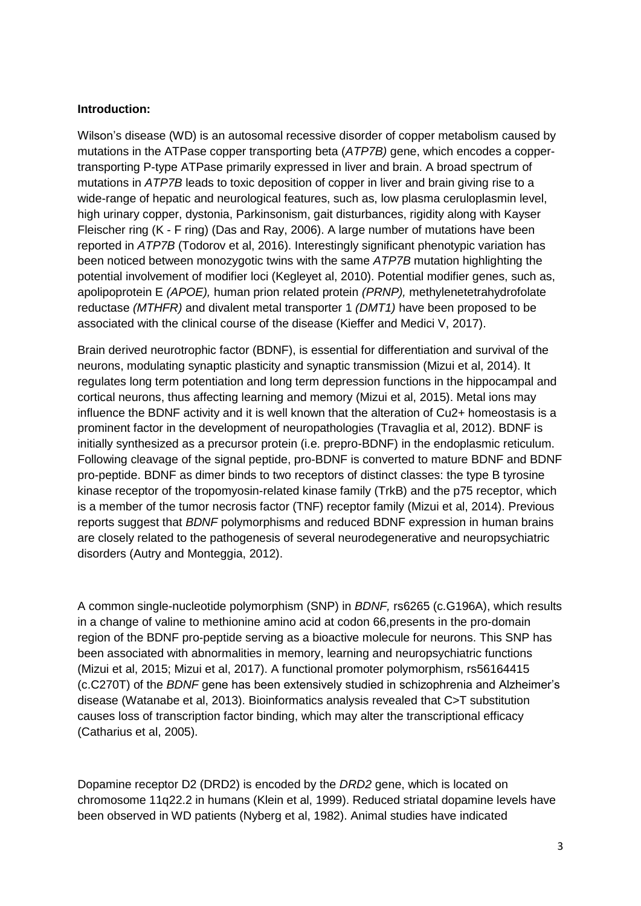#### **Introduction:**

Wilson's disease (WD) is an autosomal recessive disorder of copper metabolism caused by mutations in the ATPase copper transporting beta (*ATP7B)* gene, which encodes a coppertransporting P-type ATPase primarily expressed in liver and brain. A broad spectrum of mutations in *ATP7B* leads to toxic deposition of copper in liver and brain giving rise to a wide-range of hepatic and neurological features, such as, low plasma ceruloplasmin level, high urinary copper, dystonia, Parkinsonism, gait disturbances, rigidity along with Kayser Fleischer ring (K - F ring) (Das and Ray, 2006). A large number of mutations have been reported in *ATP7B* (Todorov et al, 2016). Interestingly significant phenotypic variation has been noticed between monozygotic twins with the same *ATP7B* mutation highlighting the potential involvement of modifier loci (Kegleyet al, 2010). Potential modifier genes, such as, apolipoprotein E *(APOE),* human prion related protein *(PRNP),* methylenetetrahydrofolate reductase *(MTHFR)* and divalent metal transporter 1 *(DMT1)* have been proposed to be associated with the clinical course of the disease (Kieffer and Medici V, 2017).

Brain derived neurotrophic factor (BDNF), is essential for differentiation and survival of the neurons, modulating synaptic plasticity and synaptic transmission (Mizui et al, 2014). It regulates long term potentiation and long term depression functions in the hippocampal and cortical neurons, thus affecting learning and memory (Mizui et al, 2015). Metal ions may influence the BDNF activity and it is well known that the alteration of Cu2+ homeostasis is a prominent factor in the development of neuropathologies (Travaglia et al, 2012). BDNF is initially synthesized as a precursor protein (i.e. prepro-BDNF) in the endoplasmic reticulum. Following cleavage of the signal peptide, pro-BDNF is converted to mature BDNF and BDNF pro-peptide. BDNF as dimer binds to two receptors of distinct classes: the type B tyrosine kinase receptor of the tropomyosin-related kinase family (TrkB) and the p75 receptor, which is a member of the tumor necrosis factor (TNF) receptor family (Mizui et al, 2014). Previous reports suggest that *BDNF* polymorphisms and reduced BDNF expression in human brains are closely related to the pathogenesis of several neurodegenerative and neuropsychiatric disorders (Autry and Monteggia, 2012).

A common single-nucleotide polymorphism (SNP) in *BDNF,* rs6265 (c.G196A), which results in a change of valine to methionine amino acid at codon 66,presents in the pro-domain region of the BDNF pro-peptide serving as a bioactive molecule for neurons. This SNP has been associated with abnormalities in memory, learning and neuropsychiatric functions (Mizui et al, 2015; Mizui et al, 2017). A functional promoter polymorphism, rs56164415 (c.C270T) of the *BDNF* gene has been extensively studied in schizophrenia and Alzheimer's disease (Watanabe et al, 2013). Bioinformatics analysis revealed that C>T substitution causes loss of transcription factor binding, which may alter the transcriptional efficacy (Catharius et al, 2005).

Dopamine receptor D2 (DRD2) is encoded by the *DRD2* gene, which is located on chromosome 11q22.2 in humans (Klein et al, 1999). Reduced striatal dopamine levels have been observed in WD patients (Nyberg et al, 1982). Animal studies have indicated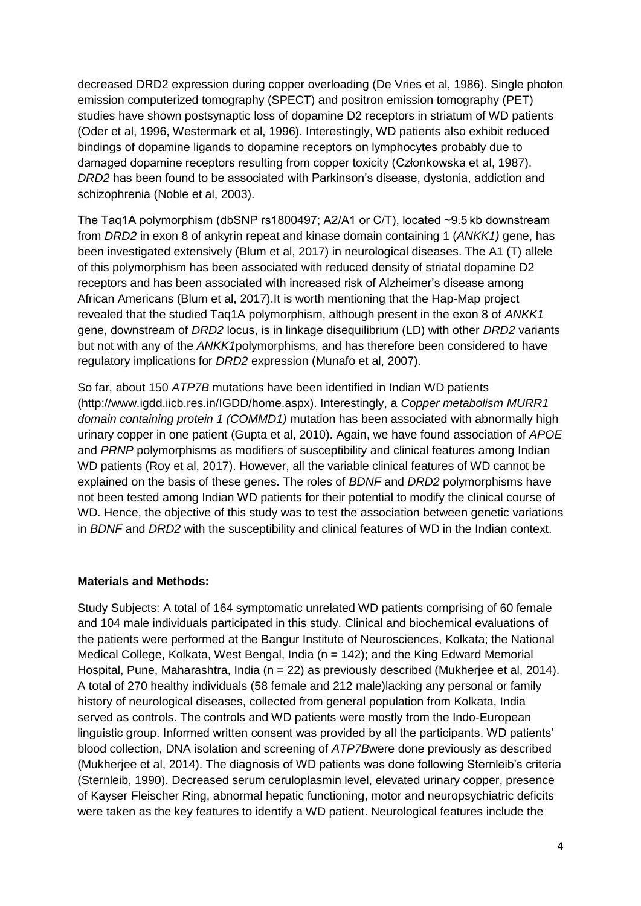decreased DRD2 expression during copper overloading (De Vries et al, 1986). Single photon emission computerized tomography (SPECT) and positron emission tomography (PET) studies have shown postsynaptic loss of dopamine D2 receptors in striatum of WD patients (Oder et al, 1996, Westermark et al, 1996). Interestingly, WD patients also exhibit reduced bindings of dopamine ligands to dopamine receptors on lymphocytes probably due to damaged dopamine receptors resulting from copper toxicity (Członkowska et al, 1987). *DRD2* has been found to be associated with Parkinson's disease, dystonia, addiction and schizophrenia (Noble et al, 2003).

The Taq1A polymorphism (dbSNP rs1800497; A2/A1 or C/T), located ~9.5 kb downstream from *DRD2* in exon 8 of ankyrin repeat and kinase domain containing 1 (*ANKK1)* gene, has been investigated extensively (Blum et al, 2017) in neurological diseases. The A1 (T) allele of this polymorphism has been associated with reduced density of striatal dopamine D2 receptors and has been associated with increased risk of Alzheimer's disease among African Americans (Blum et al, 2017).It is worth mentioning that the Hap-Map project revealed that the studied Taq1A polymorphism, although present in the exon 8 of *ANKK1* gene, downstream of *DRD2* locus, is in linkage disequilibrium (LD) with other *DRD2* variants but not with any of the *ANKK1*polymorphisms, and has therefore been considered to have regulatory implications for *DRD2* expression (Munafo et al, 2007).

So far, about 150 *ATP7B* mutations have been identified in Indian WD patients (http://www.igdd.iicb.res.in/IGDD/home.aspx). Interestingly, a *Copper metabolism MURR1 domain containing protein 1 (COMMD1)* mutation has been associated with abnormally high urinary copper in one patient (Gupta et al, 2010). Again, we have found association of *APOE* and *PRNP* polymorphisms as modifiers of susceptibility and clinical features among Indian WD patients (Roy et al, 2017). However, all the variable clinical features of WD cannot be explained on the basis of these genes. The roles of *BDNF* and *DRD2* polymorphisms have not been tested among Indian WD patients for their potential to modify the clinical course of WD. Hence, the objective of this study was to test the association between genetic variations in *BDNF* and *DRD2* with the susceptibility and clinical features of WD in the Indian context.

### **Materials and Methods:**

Study Subjects: A total of 164 symptomatic unrelated WD patients comprising of 60 female and 104 male individuals participated in this study. Clinical and biochemical evaluations of the patients were performed at the Bangur Institute of Neurosciences, Kolkata; the National Medical College, Kolkata, West Bengal, India ( $n = 142$ ); and the King Edward Memorial Hospital, Pune, Maharashtra, India (n = 22) as previously described (Mukherjee et al, 2014). A total of 270 healthy individuals (58 female and 212 male)lacking any personal or family history of neurological diseases, collected from general population from Kolkata, India served as controls. The controls and WD patients were mostly from the Indo-European linguistic group. Informed written consent was provided by all the participants. WD patients' blood collection, DNA isolation and screening of *ATP7B*were done previously as described (Mukherjee et al, 2014). The diagnosis of WD patients was done following Sternleib's criteria (Sternleib, 1990). Decreased serum ceruloplasmin level, elevated urinary copper, presence of Kayser Fleischer Ring, abnormal hepatic functioning, motor and neuropsychiatric deficits were taken as the key features to identify a WD patient. Neurological features include the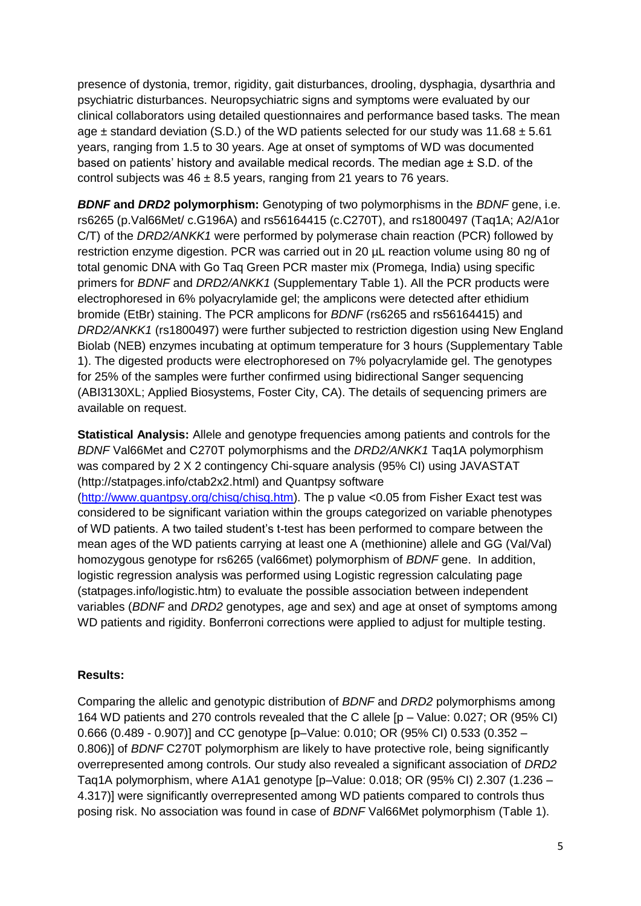presence of dystonia, tremor, rigidity, gait disturbances, drooling, dysphagia, dysarthria and psychiatric disturbances. Neuropsychiatric signs and symptoms were evaluated by our clinical collaborators using detailed questionnaires and performance based tasks. The mean age  $\pm$  standard deviation (S.D.) of the WD patients selected for our study was 11.68  $\pm$  5.61 years, ranging from 1.5 to 30 years. Age at onset of symptoms of WD was documented based on patients' history and available medical records. The median age ± S.D. of the control subjects was  $46 \pm 8.5$  years, ranging from 21 years to 76 years.

*BDNF* **and** *DRD2* **polymorphism:** Genotyping of two polymorphisms in the *BDNF* gene, i.e. rs6265 (p.Val66Met/ c.G196A) and rs56164415 (c.C270T), and rs1800497 (Taq1A; A2/A1or C/T) of the *DRD2/ANKK1* were performed by polymerase chain reaction (PCR) followed by restriction enzyme digestion. PCR was carried out in 20 µL reaction volume using 80 ng of total genomic DNA with Go Taq Green PCR master mix (Promega, India) using specific primers for *BDNF* and *DRD2/ANKK1* (Supplementary Table 1). All the PCR products were electrophoresed in 6% polyacrylamide gel; the amplicons were detected after ethidium bromide (EtBr) staining. The PCR amplicons for *BDNF* (rs6265 and rs56164415) and *DRD2/ANKK1* (rs1800497) were further subjected to restriction digestion using New England Biolab (NEB) enzymes incubating at optimum temperature for 3 hours (Supplementary Table 1). The digested products were electrophoresed on 7% polyacrylamide gel. The genotypes for 25% of the samples were further confirmed using bidirectional Sanger sequencing (ABI3130XL; Applied Biosystems, Foster City, CA). The details of sequencing primers are available on request.

**Statistical Analysis:** Allele and genotype frequencies among patients and controls for the *BDNF* Val66Met and C270T polymorphisms and the *DRD2/ANKK1* Taq1A polymorphism was compared by 2 X 2 contingency Chi-square analysis (95% CI) using JAVASTAT (http://statpages.info/ctab2x2.html) and Quantpsy software [\(http://www.quantpsy.org/chisq/chisq.htm\)](http://www.quantpsy.org/chisq/chisq.htm). The p value <0.05 from Fisher Exact test was considered to be significant variation within the groups categorized on variable phenotypes of WD patients. A two tailed student's t-test has been performed to compare between the mean ages of the WD patients carrying at least one A (methionine) allele and GG (Val/Val) homozygous genotype for rs6265 (val66met) polymorphism of *BDNF* gene. In addition, logistic regression analysis was performed using Logistic regression calculating page (statpages.info/logistic.htm) to evaluate the possible association between independent variables (*BDNF* and *DRD2* genotypes, age and sex) and age at onset of symptoms among WD patients and rigidity. Bonferroni corrections were applied to adjust for multiple testing.

### **Results:**

Comparing the allelic and genotypic distribution of *BDNF* and *DRD2* polymorphisms among 164 WD patients and 270 controls revealed that the C allele [p – Value: 0.027; OR (95% CI) 0.666 (0.489 - 0.907)] and CC genotype [p–Value: 0.010; OR (95% CI) 0.533 (0.352 – 0.806)] of *BDNF* C270T polymorphism are likely to have protective role, being significantly overrepresented among controls. Our study also revealed a significant association of *DRD2*  Taq1A polymorphism, where A1A1 genotype [p–Value: 0.018; OR (95% CI) 2.307 (1.236 – 4.317)] were significantly overrepresented among WD patients compared to controls thus posing risk. No association was found in case of *BDNF* Val66Met polymorphism (Table 1).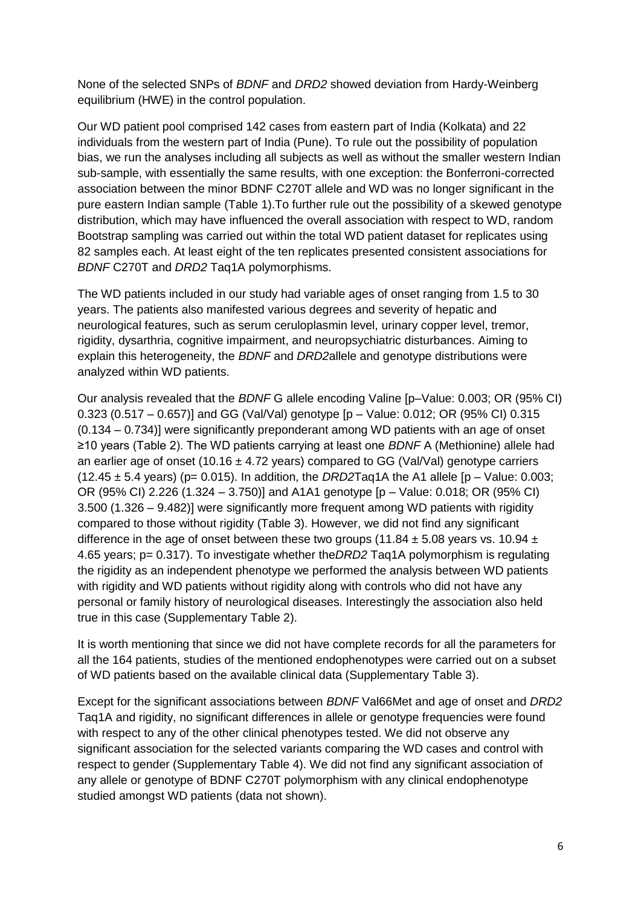None of the selected SNPs of *BDNF* and *DRD2* showed deviation from Hardy-Weinberg equilibrium (HWE) in the control population.

Our WD patient pool comprised 142 cases from eastern part of India (Kolkata) and 22 individuals from the western part of India (Pune). To rule out the possibility of population bias, we run the analyses including all subjects as well as without the smaller western Indian sub-sample, with essentially the same results, with one exception: the Bonferroni-corrected association between the minor BDNF C270T allele and WD was no longer significant in the pure eastern Indian sample (Table 1).To further rule out the possibility of a skewed genotype distribution, which may have influenced the overall association with respect to WD, random Bootstrap sampling was carried out within the total WD patient dataset for replicates using 82 samples each. At least eight of the ten replicates presented consistent associations for *BDNF* C270T and *DRD2* Taq1A polymorphisms.

The WD patients included in our study had variable ages of onset ranging from 1.5 to 30 years. The patients also manifested various degrees and severity of hepatic and neurological features, such as serum ceruloplasmin level, urinary copper level, tremor, rigidity, dysarthria, cognitive impairment, and neuropsychiatric disturbances. Aiming to explain this heterogeneity, the *BDNF* and *DRD2*allele and genotype distributions were analyzed within WD patients.

Our analysis revealed that the *BDNF* G allele encoding Valine [p–Value: 0.003; OR (95% CI) 0.323 (0.517 – 0.657)] and GG (Val/Val) genotype [p – Value: 0.012; OR (95% CI) 0.315 (0.134 – 0.734)] were significantly preponderant among WD patients with an age of onset ≥10 years (Table 2). The WD patients carrying at least one *BDNF* A (Methionine) allele had an earlier age of onset (10.16  $\pm$  4.72 years) compared to GG (Val/Val) genotype carriers  $(12.45 \pm 5.4 \text{ years})$  (p= 0.015). In addition, the *DRD2*Taq1A the A1 allele [p – Value: 0.003; OR (95% CI) 2.226 (1.324 – 3.750)] and A1A1 genotype [p – Value: 0.018; OR (95% CI) 3.500 (1.326 – 9.482)] were significantly more frequent among WD patients with rigidity compared to those without rigidity (Table 3). However, we did not find any significant difference in the age of onset between these two groups (11.84  $\pm$  5.08 years vs. 10.94  $\pm$ 4.65 years; p= 0.317). To investigate whether the*DRD2* Taq1A polymorphism is regulating the rigidity as an independent phenotype we performed the analysis between WD patients with rigidity and WD patients without rigidity along with controls who did not have any personal or family history of neurological diseases. Interestingly the association also held true in this case (Supplementary Table 2).

It is worth mentioning that since we did not have complete records for all the parameters for all the 164 patients, studies of the mentioned endophenotypes were carried out on a subset of WD patients based on the available clinical data (Supplementary Table 3).

Except for the significant associations between *BDNF* Val66Met and age of onset and *DRD2*  Taq1A and rigidity, no significant differences in allele or genotype frequencies were found with respect to any of the other clinical phenotypes tested. We did not observe any significant association for the selected variants comparing the WD cases and control with respect to gender (Supplementary Table 4). We did not find any significant association of any allele or genotype of BDNF C270T polymorphism with any clinical endophenotype studied amongst WD patients (data not shown).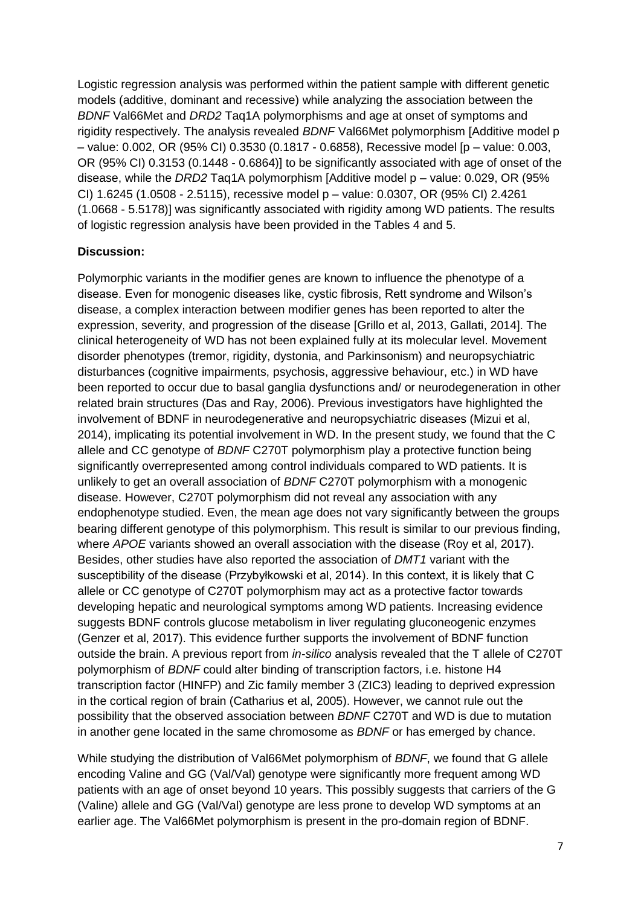Logistic regression analysis was performed within the patient sample with different genetic models (additive, dominant and recessive) while analyzing the association between the *BDNF* Val66Met and *DRD2* Taq1A polymorphisms and age at onset of symptoms and rigidity respectively. The analysis revealed *BDNF* Val66Met polymorphism [Additive model p – value: 0.002, OR (95% CI) 0.3530 (0.1817 - 0.6858), Recessive model [p – value: 0.003, OR (95% CI) 0.3153 (0.1448 - 0.6864)] to be significantly associated with age of onset of the disease, while the *DRD2* Taq1A polymorphism [Additive model p – value: 0.029, OR (95% CI) 1.6245 (1.0508 - 2.5115), recessive model p – value: 0.0307, OR (95% CI) 2.4261 (1.0668 - 5.5178)] was significantly associated with rigidity among WD patients. The results of logistic regression analysis have been provided in the Tables 4 and 5.

#### **Discussion:**

Polymorphic variants in the modifier genes are known to influence the phenotype of a disease. Even for monogenic diseases like, cystic fibrosis, Rett syndrome and Wilson's disease, a complex interaction between modifier genes has been reported to alter the expression, severity, and progression of the disease [Grillo et al, 2013, Gallati, 2014]. The clinical heterogeneity of WD has not been explained fully at its molecular level. Movement disorder phenotypes (tremor, rigidity, dystonia, and Parkinsonism) and neuropsychiatric disturbances (cognitive impairments, psychosis, aggressive behaviour, etc.) in WD have been reported to occur due to basal ganglia dysfunctions and/ or neurodegeneration in other related brain structures (Das and Ray, 2006). Previous investigators have highlighted the involvement of BDNF in neurodegenerative and neuropsychiatric diseases (Mizui et al, 2014), implicating its potential involvement in WD. In the present study, we found that the C allele and CC genotype of *BDNF* C270T polymorphism play a protective function being significantly overrepresented among control individuals compared to WD patients. It is unlikely to get an overall association of *BDNF* C270T polymorphism with a monogenic disease. However, C270T polymorphism did not reveal any association with any endophenotype studied. Even, the mean age does not vary significantly between the groups bearing different genotype of this polymorphism. This result is similar to our previous finding, where *APOE* variants showed an overall association with the disease (Roy et al, 2017). Besides, other studies have also reported the association of *DMT1* variant with the susceptibility of the disease (Przybyłkowski et al, 2014). In this context, it is likely that C allele or CC genotype of C270T polymorphism may act as a protective factor towards developing hepatic and neurological symptoms among WD patients. Increasing evidence suggests BDNF controls glucose metabolism in liver regulating gluconeogenic enzymes (Genzer et al, 2017). This evidence further supports the involvement of BDNF function outside the brain. A previous report from *in-silico* analysis revealed that the T allele of C270T polymorphism of *BDNF* could alter binding of transcription factors, i.e. histone H4 transcription factor (HINFP) and Zic family member 3 (ZIC3) leading to deprived expression in the cortical region of brain (Catharius et al, 2005). However, we cannot rule out the possibility that the observed association between *BDNF* C270T and WD is due to mutation in another gene located in the same chromosome as *BDNF* or has emerged by chance.

While studying the distribution of Val66Met polymorphism of *BDNF*, we found that G allele encoding Valine and GG (Val/Val) genotype were significantly more frequent among WD patients with an age of onset beyond 10 years. This possibly suggests that carriers of the G (Valine) allele and GG (Val/Val) genotype are less prone to develop WD symptoms at an earlier age. The Val66Met polymorphism is present in the pro-domain region of BDNF.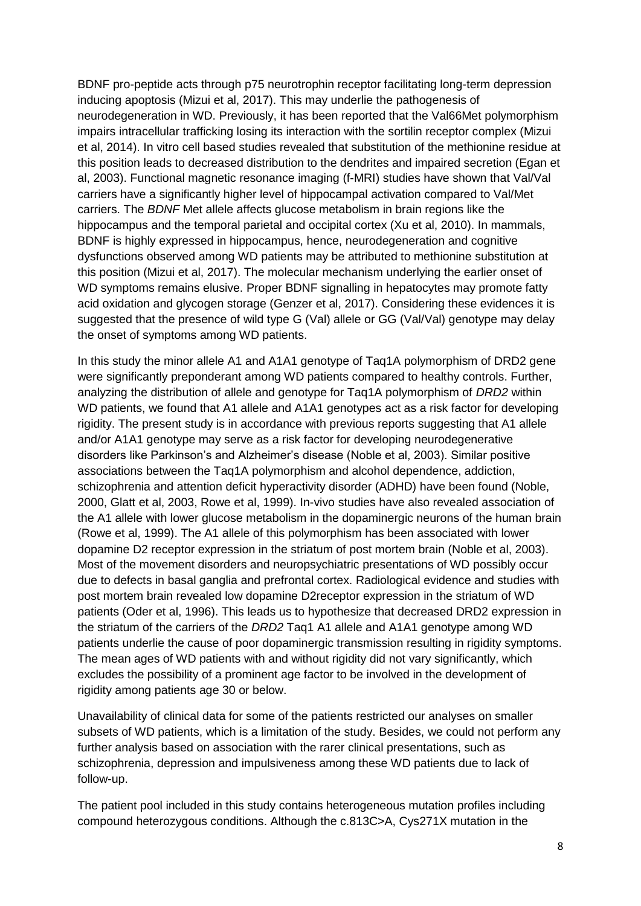BDNF pro-peptide acts through p75 neurotrophin receptor facilitating long-term depression inducing apoptosis (Mizui et al, 2017). This may underlie the pathogenesis of neurodegeneration in WD. Previously, it has been reported that the Val66Met polymorphism impairs intracellular trafficking losing its interaction with the sortilin receptor complex (Mizui et al, 2014). In vitro cell based studies revealed that substitution of the methionine residue at this position leads to decreased distribution to the dendrites and impaired secretion (Egan et al, 2003). Functional magnetic resonance imaging (f-MRI) studies have shown that Val/Val carriers have a significantly higher level of hippocampal activation compared to Val/Met carriers. The *BDNF* Met allele affects glucose metabolism in brain regions like the hippocampus and the temporal parietal and occipital cortex (Xu et al, 2010). In mammals, BDNF is highly expressed in hippocampus, hence, neurodegeneration and cognitive dysfunctions observed among WD patients may be attributed to methionine substitution at this position (Mizui et al, 2017). The molecular mechanism underlying the earlier onset of WD symptoms remains elusive. Proper BDNF signalling in hepatocytes may promote fatty acid oxidation and glycogen storage (Genzer et al, 2017). Considering these evidences it is suggested that the presence of wild type G (Val) allele or GG (Val/Val) genotype may delay the onset of symptoms among WD patients.

In this study the minor allele A1 and A1A1 genotype of Taq1A polymorphism of DRD2 gene were significantly preponderant among WD patients compared to healthy controls. Further, analyzing the distribution of allele and genotype for Taq1A polymorphism of *DRD2* within WD patients, we found that A1 allele and A1A1 genotypes act as a risk factor for developing rigidity. The present study is in accordance with previous reports suggesting that A1 allele and/or A1A1 genotype may serve as a risk factor for developing neurodegenerative disorders like Parkinson's and Alzheimer's disease (Noble et al, 2003). Similar positive associations between the Taq1A polymorphism and alcohol dependence, addiction, schizophrenia and attention deficit hyperactivity disorder (ADHD) have been found (Noble, 2000, Glatt et al, 2003, Rowe et al, 1999). In-vivo studies have also revealed association of the A1 allele with lower glucose metabolism in the dopaminergic neurons of the human brain (Rowe et al, 1999). The A1 allele of this polymorphism has been associated with lower dopamine D2 receptor expression in the striatum of post mortem brain (Noble et al, 2003). Most of the movement disorders and neuropsychiatric presentations of WD possibly occur due to defects in basal ganglia and prefrontal cortex. Radiological evidence and studies with post mortem brain revealed low dopamine D2receptor expression in the striatum of WD patients (Oder et al, 1996). This leads us to hypothesize that decreased DRD2 expression in the striatum of the carriers of the *DRD2* Taq1 A1 allele and A1A1 genotype among WD patients underlie the cause of poor dopaminergic transmission resulting in rigidity symptoms. The mean ages of WD patients with and without rigidity did not vary significantly, which excludes the possibility of a prominent age factor to be involved in the development of rigidity among patients age 30 or below.

Unavailability of clinical data for some of the patients restricted our analyses on smaller subsets of WD patients, which is a limitation of the study. Besides, we could not perform any further analysis based on association with the rarer clinical presentations, such as schizophrenia, depression and impulsiveness among these WD patients due to lack of follow-up.

The patient pool included in this study contains heterogeneous mutation profiles including compound heterozygous conditions. Although the c.813C>A, Cys271X mutation in the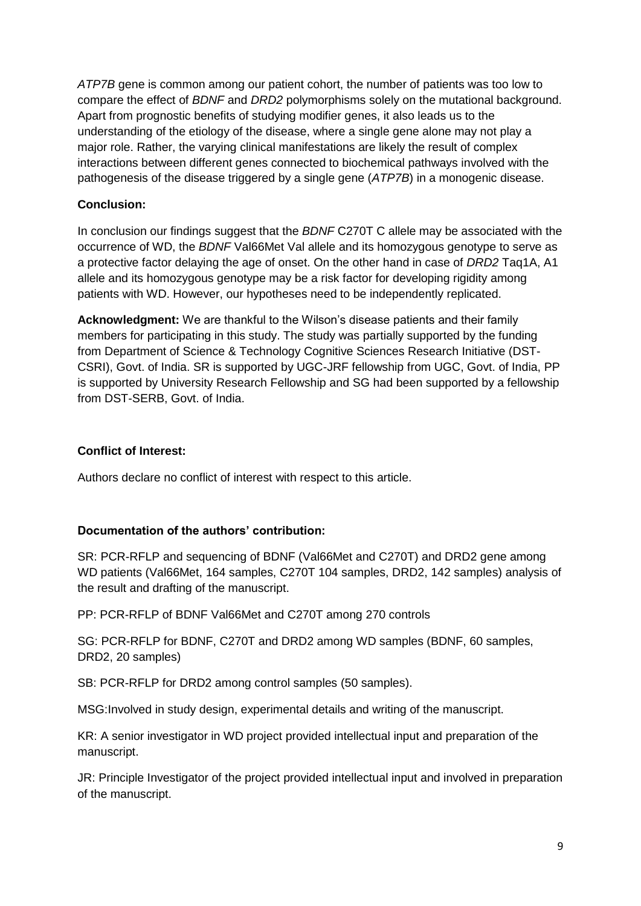*ATP7B* gene is common among our patient cohort, the number of patients was too low to compare the effect of *BDNF* and *DRD2* polymorphisms solely on the mutational background. Apart from prognostic benefits of studying modifier genes, it also leads us to the understanding of the etiology of the disease, where a single gene alone may not play a major role. Rather, the varying clinical manifestations are likely the result of complex interactions between different genes connected to biochemical pathways involved with the pathogenesis of the disease triggered by a single gene (*ATP7B*) in a monogenic disease.

# **Conclusion:**

In conclusion our findings suggest that the *BDNF* C270T C allele may be associated with the occurrence of WD, the *BDNF* Val66Met Val allele and its homozygous genotype to serve as a protective factor delaying the age of onset. On the other hand in case of *DRD2* Taq1A, A1 allele and its homozygous genotype may be a risk factor for developing rigidity among patients with WD. However, our hypotheses need to be independently replicated.

**Acknowledgment:** We are thankful to the Wilson's disease patients and their family members for participating in this study. The study was partially supported by the funding from Department of Science & Technology Cognitive Sciences Research Initiative (DST-CSRI), Govt. of India. SR is supported by UGC-JRF fellowship from UGC, Govt. of India, PP is supported by University Research Fellowship and SG had been supported by a fellowship from DST-SERB, Govt. of India.

# **Conflict of Interest:**

Authors declare no conflict of interest with respect to this article.

# **Documentation of the authors' contribution:**

SR: PCR-RFLP and sequencing of BDNF (Val66Met and C270T) and DRD2 gene among WD patients (Val66Met, 164 samples, C270T 104 samples, DRD2, 142 samples) analysis of the result and drafting of the manuscript.

PP: PCR-RFLP of BDNF Val66Met and C270T among 270 controls

SG: PCR-RFLP for BDNF, C270T and DRD2 among WD samples (BDNF, 60 samples, DRD2, 20 samples)

SB: PCR-RFLP for DRD2 among control samples (50 samples).

MSG:Involved in study design, experimental details and writing of the manuscript.

KR: A senior investigator in WD project provided intellectual input and preparation of the manuscript.

JR: Principle Investigator of the project provided intellectual input and involved in preparation of the manuscript.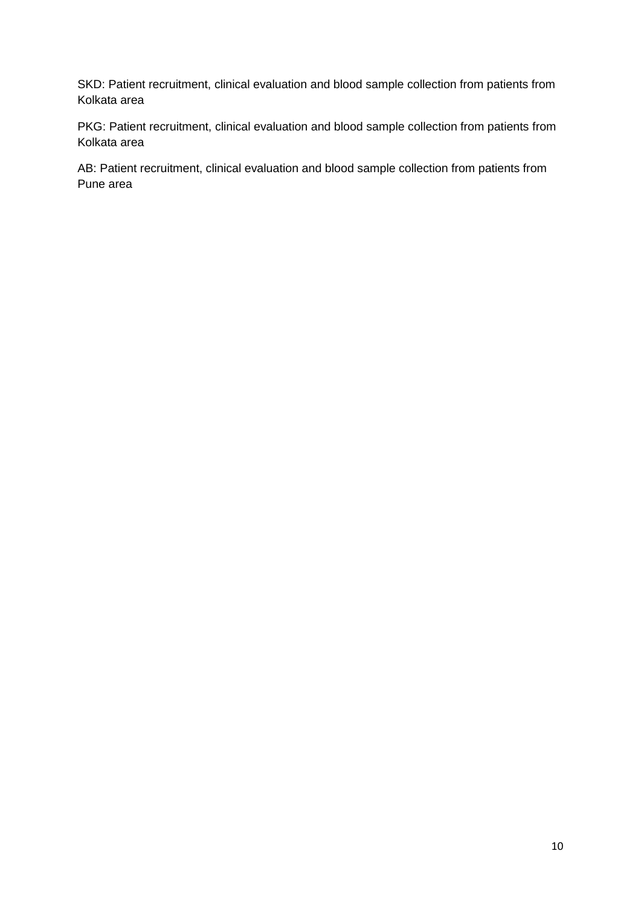SKD: Patient recruitment, clinical evaluation and blood sample collection from patients from Kolkata area

PKG: Patient recruitment, clinical evaluation and blood sample collection from patients from Kolkata area

AB: Patient recruitment, clinical evaluation and blood sample collection from patients from Pune area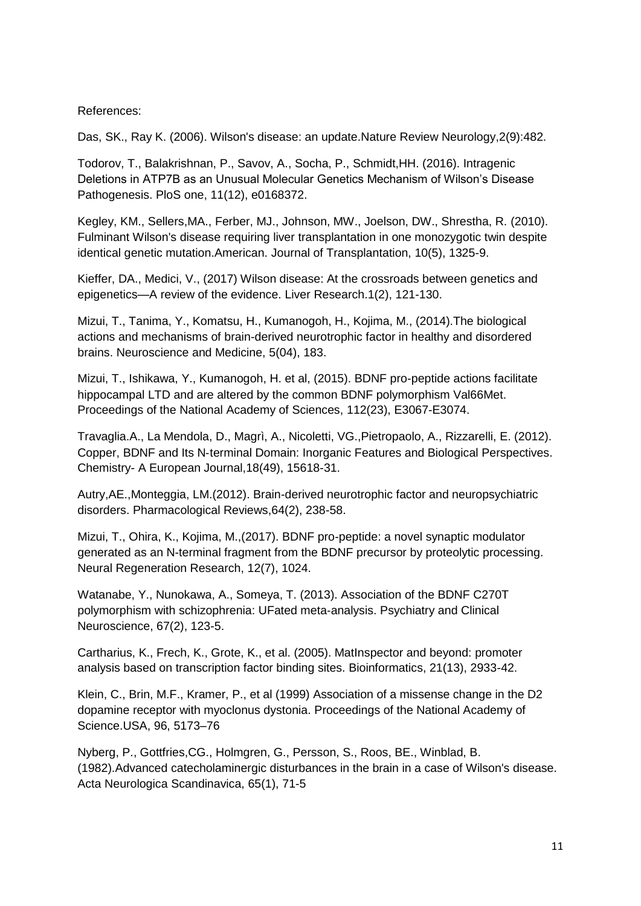## References:

Das, SK., Ray K. (2006). Wilson's disease: an update.Nature Review Neurology,2(9):482.

Todorov, T., Balakrishnan, P., Savov, A., Socha, P., Schmidt,HH. (2016). Intragenic Deletions in ATP7B as an Unusual Molecular Genetics Mechanism of Wilson's Disease Pathogenesis. PloS one, 11(12), e0168372.

Kegley, KM., Sellers,MA., Ferber, MJ., Johnson, MW., Joelson, DW., Shrestha, R. (2010). Fulminant Wilson's disease requiring liver transplantation in one monozygotic twin despite identical genetic mutation.American. Journal of Transplantation, 10(5), 1325-9.

Kieffer, DA., Medici, V., (2017) Wilson disease: At the crossroads between genetics and epigenetics—A review of the evidence. Liver Research.1(2), 121-130.

Mizui, T., Tanima, Y., Komatsu, H., Kumanogoh, H., Kojima, M., (2014).The biological actions and mechanisms of brain-derived neurotrophic factor in healthy and disordered brains. Neuroscience and Medicine, 5(04), 183.

Mizui, T., Ishikawa, Y., Kumanogoh, H. et al, (2015). BDNF pro-peptide actions facilitate hippocampal LTD and are altered by the common BDNF polymorphism Val66Met. Proceedings of the National Academy of Sciences, 112(23), E3067-E3074.

Travaglia.A., La Mendola, D., Magrì, A., Nicoletti, VG.,Pietropaolo, A., Rizzarelli, E. (2012). Copper, BDNF and Its N‐terminal Domain: Inorganic Features and Biological Perspectives. Chemistry- A European Journal,18(49), 15618-31.

Autry,AE.,Monteggia, LM.(2012). Brain-derived neurotrophic factor and neuropsychiatric disorders. Pharmacological Reviews,64(2), 238-58.

Mizui, T., Ohira, K., Kojima, M.,(2017). BDNF pro-peptide: a novel synaptic modulator generated as an N-terminal fragment from the BDNF precursor by proteolytic processing. Neural Regeneration Research, 12(7), 1024.

Watanabe, Y., Nunokawa, A., Someya, T. (2013). Association of the BDNF C270T polymorphism with schizophrenia: UFated meta‐analysis. Psychiatry and Clinical Neuroscience, 67(2), 123-5.

Cartharius, K., Frech, K., Grote, K., et al. (2005). MatInspector and beyond: promoter analysis based on transcription factor binding sites. Bioinformatics, 21(13), 2933-42.

Klein, C., Brin, M.F., Kramer, P., et al (1999) Association of a missense change in the D2 dopamine receptor with myoclonus dystonia. Proceedings of the National Academy of Science.USA, 96, 5173–76

Nyberg, P., Gottfries,CG., Holmgren, G., Persson, S., Roos, BE., Winblad, B. (1982).Advanced catecholaminergic disturbances in the brain in a case of Wilson's disease. Acta Neurologica Scandinavica, 65(1), 71-5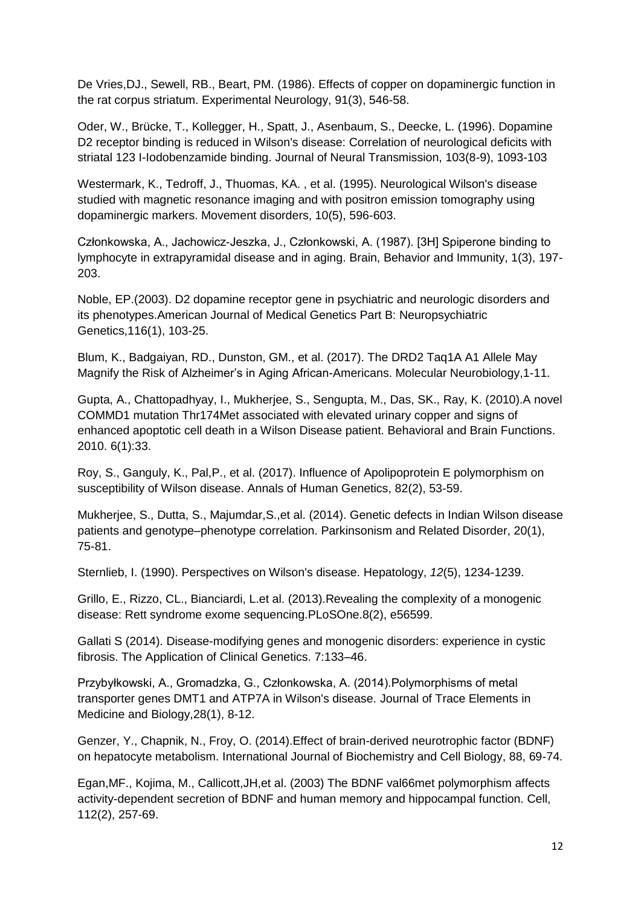De Vries,DJ., Sewell, RB., Beart, PM. (1986). Effects of copper on dopaminergic function in the rat corpus striatum. Experimental Neurology, 91(3), 546-58.

Oder, W., Brücke, T., Kollegger, H., Spatt, J., Asenbaum, S., Deecke, L. (1996). Dopamine D2 receptor binding is reduced in Wilson's disease: Correlation of neurological deficits with striatal 123 I-Iodobenzamide binding. Journal of Neural Transmission, 103(8-9), 1093-103

Westermark, K., Tedroff, J., Thuomas, KA. , et al. (1995). Neurological Wilson's disease studied with magnetic resonance imaging and with positron emission tomography using dopaminergic markers. Movement disorders, 10(5), 596-603.

Członkowska, A., Jachowicz-Jeszka, J., Członkowski, A. (1987). [3H] Spiperone binding to lymphocyte in extrapyramidal disease and in aging. Brain, Behavior and Immunity, 1(3), 197- 203.

Noble, EP.(2003). D2 dopamine receptor gene in psychiatric and neurologic disorders and its phenotypes.American Journal of Medical Genetics Part B: Neuropsychiatric Genetics,116(1), 103-25.

Blum, K., Badgaiyan, RD., Dunston, GM., et al. (2017). The DRD2 Taq1A A1 Allele May Magnify the Risk of Alzheimer's in Aging African-Americans. Molecular Neurobiology,1-11.

Gupta, A., Chattopadhyay, I., Mukherjee, S., Sengupta, M., Das, SK., Ray, K. (2010).A novel COMMD1 mutation Thr174Met associated with elevated urinary copper and signs of enhanced apoptotic cell death in a Wilson Disease patient. Behavioral and Brain Functions. 2010. 6(1):33.

Roy, S., Ganguly, K., Pal,P., et al. (2017). Influence of Apolipoprotein E polymorphism on susceptibility of Wilson disease. Annals of Human Genetics, 82(2), 53-59.

Mukherjee, S., Dutta, S., Majumdar,S.,et al. (2014). Genetic defects in Indian Wilson disease patients and genotype–phenotype correlation. Parkinsonism and Related Disorder, 20(1), 75-81.

Sternlieb, I. (1990). Perspectives on Wilson's disease. Hepatology, *12*(5), 1234-1239.

Grillo, E., Rizzo, CL., Bianciardi, L.et al. (2013).Revealing the complexity of a monogenic disease: Rett syndrome exome sequencing.PLoSOne.8(2), e56599.

Gallati S (2014). Disease-modifying genes and monogenic disorders: experience in cystic fibrosis. The Application of Clinical Genetics. 7:133–46.

Przybyłkowski, A., Gromadzka, G., Członkowska, A. (2014).Polymorphisms of metal transporter genes DMT1 and ATP7A in Wilson's disease. Journal of Trace Elements in Medicine and Biology,28(1), 8-12.

Genzer, Y., Chapnik, N., Froy, O. (2014).Effect of brain-derived neurotrophic factor (BDNF) on hepatocyte metabolism. International Journal of Biochemistry and Cell Biology, 88, 69-74.

Egan,MF., Kojima, M., Callicott,JH,et al. (2003) The BDNF val66met polymorphism affects activity-dependent secretion of BDNF and human memory and hippocampal function. Cell, 112(2), 257-69.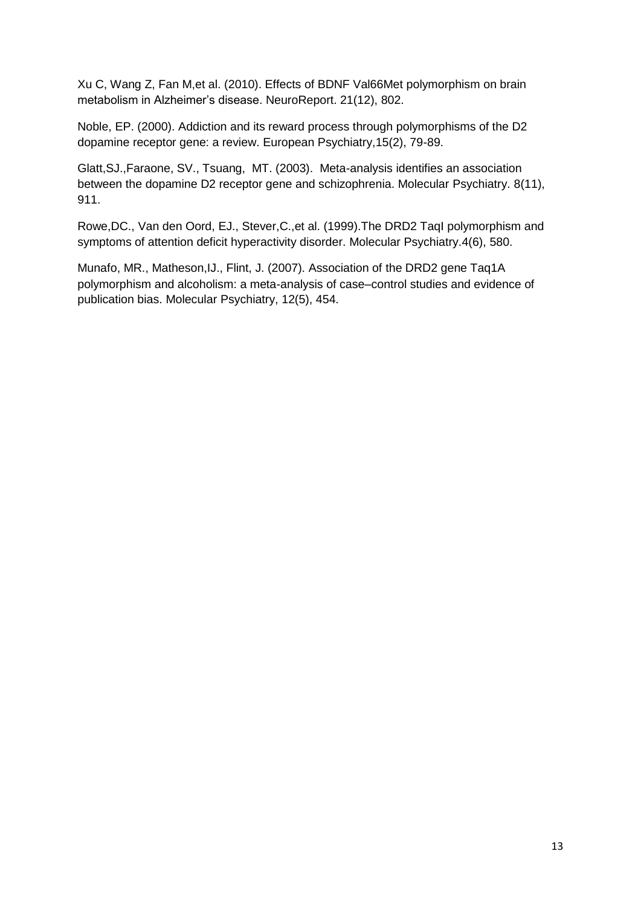Xu C, Wang Z, Fan M,et al. (2010). Effects of BDNF Val66Met polymorphism on brain metabolism in Alzheimer's disease. NeuroReport. 21(12), 802.

Noble, EP. (2000). Addiction and its reward process through polymorphisms of the D2 dopamine receptor gene: a review. European Psychiatry,15(2), 79-89.

Glatt,SJ.,Faraone, SV., Tsuang, MT. (2003). Meta-analysis identifies an association between the dopamine D2 receptor gene and schizophrenia. Molecular Psychiatry. 8(11), 911.

Rowe,DC., Van den Oord, EJ., Stever,C.,et al. (1999).The DRD2 TaqI polymorphism and symptoms of attention deficit hyperactivity disorder. Molecular Psychiatry.4(6), 580.

Munafo, MR., Matheson,IJ., Flint, J. (2007). Association of the DRD2 gene Taq1A polymorphism and alcoholism: a meta-analysis of case–control studies and evidence of publication bias. Molecular Psychiatry, 12(5), 454.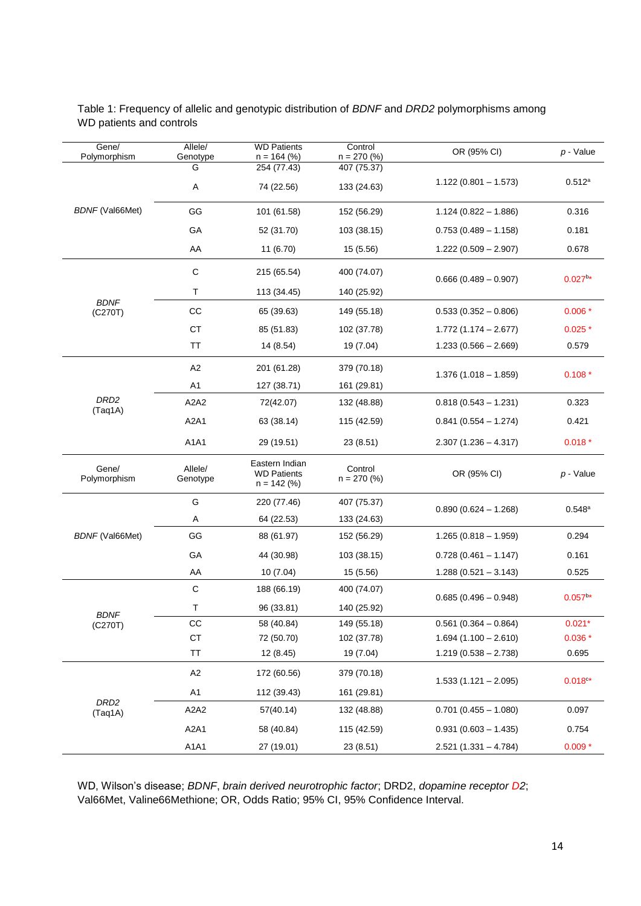| Gene/<br>Polymorphism       | Allele/<br>Genotype           |                                                       |                                                                                                                                                                                                                                                                                                                                                                                                                                                                                                  | OR (95% CI)             | $p - Value$     |
|-----------------------------|-------------------------------|-------------------------------------------------------|--------------------------------------------------------------------------------------------------------------------------------------------------------------------------------------------------------------------------------------------------------------------------------------------------------------------------------------------------------------------------------------------------------------------------------------------------------------------------------------------------|-------------------------|-----------------|
|                             | G                             | 254 (77.43)                                           | 407 (75.37)                                                                                                                                                                                                                                                                                                                                                                                                                                                                                      |                         |                 |
|                             | Α                             | 74 (22.56)                                            | 133 (24.63)                                                                                                                                                                                                                                                                                                                                                                                                                                                                                      | $1.122(0.801 - 1.573)$  | $0.512^a$       |
| <b>BDNF</b> (Val66Met)      | GG                            | 101 (61.58)                                           | 152 (56.29)                                                                                                                                                                                                                                                                                                                                                                                                                                                                                      | $1.124(0.822 - 1.886)$  | 0.316           |
|                             | GA                            | 52 (31.70)                                            | 103 (38.15)                                                                                                                                                                                                                                                                                                                                                                                                                                                                                      | $0.753(0.489 - 1.158)$  | 0.181           |
|                             | AA                            | 11 (6.70)                                             | 15 (5.56)                                                                                                                                                                                                                                                                                                                                                                                                                                                                                        | $1.222(0.509 - 2.907)$  | 0.678           |
|                             | $\mathbf C$                   | 215 (65.54)                                           | 400 (74.07)                                                                                                                                                                                                                                                                                                                                                                                                                                                                                      | $0.666(0.489 - 0.907)$  | $0.027^{b*}$    |
|                             | T                             | 113 (34.45)                                           | 140 (25.92)                                                                                                                                                                                                                                                                                                                                                                                                                                                                                      |                         |                 |
| <b>BDNF</b><br>(C270T)      | cc                            | 65 (39.63)                                            | <b>WD Patients</b><br>Control<br>$n = 270$ (%)<br>$n = 164$ (%)<br>149 (55.18)<br>102 (37.78)<br>19 (7.04)<br>379 (70.18)<br>161 (29.81)<br>132 (48.88)<br>115 (42.59)<br>23 (8.51)<br>Control<br>OR (95% CI)<br>$n = 270$ (%)<br>407 (75.37)<br>$0.890(0.624 - 1.268)$<br>133 (24.63)<br>152 (56.29)<br>103 (38.15)<br>15 (5.56)<br>400 (74.07)<br>$0.685(0.496 - 0.948)$<br>140 (25.92)<br>149 (55.18)<br>102 (37.78)<br>19 (7.04)<br>379 (70.18)<br>161 (29.81)<br>132 (48.88)<br>115 (42.59) | $0.533(0.352 - 0.806)$  | $0.006*$        |
|                             | <b>CT</b>                     | 85 (51.83)                                            |                                                                                                                                                                                                                                                                                                                                                                                                                                                                                                  | $1.772(1.174 - 2.677)$  | $0.025*$        |
|                             | TT                            | 14 (8.54)                                             |                                                                                                                                                                                                                                                                                                                                                                                                                                                                                                  | $1.233(0.566 - 2.669)$  | 0.579           |
|                             | A <sub>2</sub>                | 201 (61.28)                                           |                                                                                                                                                                                                                                                                                                                                                                                                                                                                                                  | $1.376(1.018 - 1.859)$  | $0.108*$        |
|                             | A <sub>1</sub>                | 127 (38.71)                                           |                                                                                                                                                                                                                                                                                                                                                                                                                                                                                                  |                         |                 |
| DRD <sub>2</sub><br>(Taq1A) | A <sub>2</sub> A <sub>2</sub> | 72(42.07)                                             |                                                                                                                                                                                                                                                                                                                                                                                                                                                                                                  | $0.818(0.543 - 1.231)$  | 0.323           |
|                             | A <sub>2</sub> A <sub>1</sub> | 63 (38.14)                                            |                                                                                                                                                                                                                                                                                                                                                                                                                                                                                                  | $0.841(0.554 - 1.274)$  | 0.421           |
|                             | A1A1                          | 29 (19.51)                                            |                                                                                                                                                                                                                                                                                                                                                                                                                                                                                                  | $2.307(1.236 - 4.317)$  | $0.018*$        |
| Gene/<br>Polymorphism       | Allele/<br>Genotype           | Eastern Indian<br><b>WD Patients</b><br>$n = 142$ (%) |                                                                                                                                                                                                                                                                                                                                                                                                                                                                                                  |                         | $p - Value$     |
|                             | G                             | 220 (77.46)                                           |                                                                                                                                                                                                                                                                                                                                                                                                                                                                                                  |                         | $0.548^{\rm a}$ |
|                             | Α                             | 64 (22.53)                                            |                                                                                                                                                                                                                                                                                                                                                                                                                                                                                                  |                         |                 |
| <b>BDNF</b> (Val66Met)      | GG                            | 88 (61.97)                                            |                                                                                                                                                                                                                                                                                                                                                                                                                                                                                                  | $1.265(0.818 - 1.959)$  | 0.294           |
|                             | GA                            | 44 (30.98)                                            |                                                                                                                                                                                                                                                                                                                                                                                                                                                                                                  | $0.728(0.461 - 1.147)$  | 0.161           |
|                             | AA                            | 10 (7.04)                                             |                                                                                                                                                                                                                                                                                                                                                                                                                                                                                                  | $1.288(0.521 - 3.143)$  | 0.525           |
|                             | C                             | 188 (66.19)                                           |                                                                                                                                                                                                                                                                                                                                                                                                                                                                                                  |                         | $0.057^{b*}$    |
| <b>BDNF</b>                 | Τ                             | 96 (33.81)                                            |                                                                                                                                                                                                                                                                                                                                                                                                                                                                                                  |                         |                 |
| (C270T)                     | cc                            | 58 (40.84)                                            |                                                                                                                                                                                                                                                                                                                                                                                                                                                                                                  | $0.561$ (0.364 - 0.864) | $0.021*$        |
|                             | CT                            | 72 (50.70)                                            |                                                                                                                                                                                                                                                                                                                                                                                                                                                                                                  | $1.694(1.100 - 2.610)$  | $0.036*$        |
|                             | TT                            | 12 (8.45)                                             |                                                                                                                                                                                                                                                                                                                                                                                                                                                                                                  | $1.219(0.538 - 2.738)$  | 0.695           |
|                             | A2                            | 172 (60.56)                                           |                                                                                                                                                                                                                                                                                                                                                                                                                                                                                                  | $1.533(1.121 - 2.095)$  | $0.018c*$       |
|                             | A1                            | 112 (39.43)                                           |                                                                                                                                                                                                                                                                                                                                                                                                                                                                                                  |                         |                 |
| DRD <sub>2</sub><br>(Taq1A) | A2A2                          | 57(40.14)                                             |                                                                                                                                                                                                                                                                                                                                                                                                                                                                                                  | $0.701$ (0.455 - 1.080) | 0.097           |
|                             | A <sub>2</sub> A <sub>1</sub> | 58 (40.84)                                            |                                                                                                                                                                                                                                                                                                                                                                                                                                                                                                  | $0.931(0.603 - 1.435)$  | 0.754           |
|                             | A1A1                          | 27 (19.01)                                            | 23 (8.51)                                                                                                                                                                                                                                                                                                                                                                                                                                                                                        | $2.521(1.331 - 4.784)$  | $0.009*$        |

Table 1: Frequency of allelic and genotypic distribution of *BDNF* and *DRD2* polymorphisms among WD patients and controls

WD, Wilson's disease; *BDNF*, *brain derived neurotrophic factor*; DRD2, *dopamine receptor D2*; Val66Met, Valine66Methione; OR, Odds Ratio; 95% CI, 95% Confidence Interval.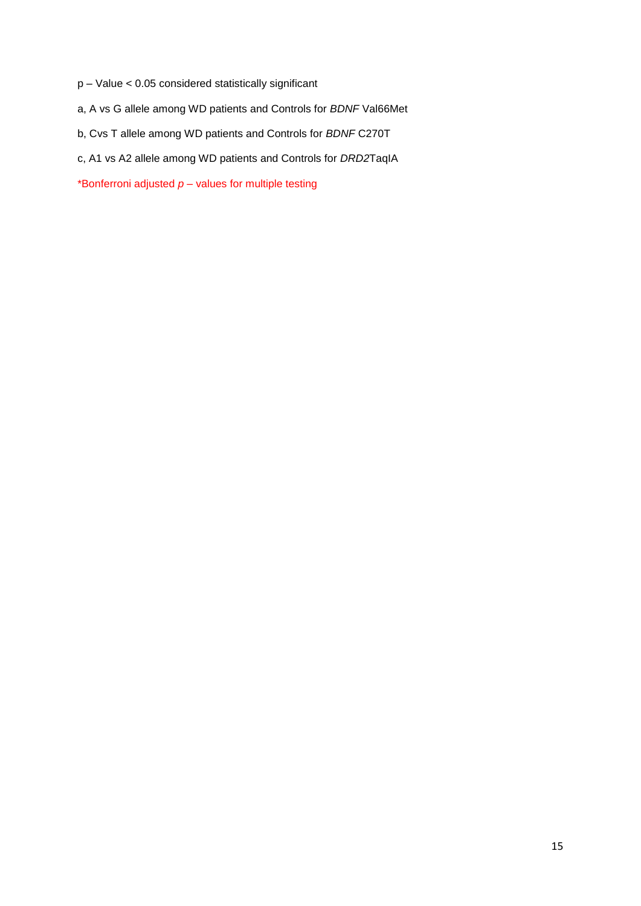- p Value < 0.05 considered statistically significant
- a, A vs G allele among WD patients and Controls for *BDNF* Val66Met
- b, Cvs T allele among WD patients and Controls for *BDNF* C270T
- c, A1 vs A2 allele among WD patients and Controls for *DRD2*TaqIA

\*Bonferroni adjusted  $p$  – values for multiple testing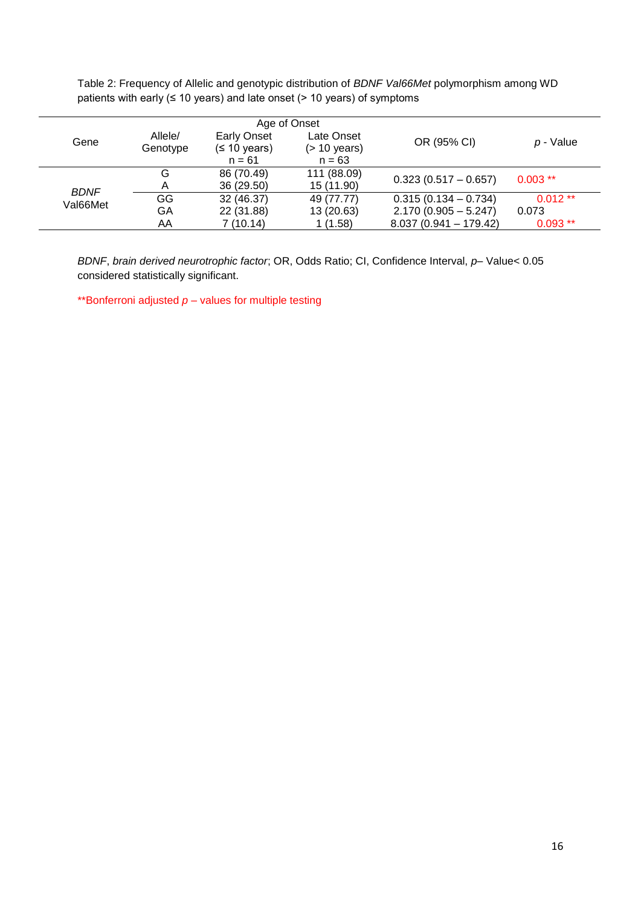Table 2: Frequency of Allelic and genotypic distribution of *BDNF Val66Met* polymorphism among WD patients with early  $(≤ 10 years)$  and late onset  $(≥ 10 years)$  of symptoms

|             |          |                          | Age of Onset                |                         |           |
|-------------|----------|--------------------------|-----------------------------|-------------------------|-----------|
| Gene        | Allele/  | <b>Early Onset</b>       | Late Onset                  | OR (95% CI)             | p - Value |
|             | Genotype | (≤ 10 years)<br>$n = 61$ | $($ > 10 years)<br>$n = 63$ |                         |           |
|             | G        | 86 (70.49)               | 111 (88.09)                 | $0.323(0.517 - 0.657)$  | $0.003**$ |
| <b>BDNF</b> |          | 36 (29.50)               | 15 (11.90)                  |                         |           |
| Val66Met    | GG       | 32 (46.37)               | 49 (77.77)                  | $0.315(0.134 - 0.734)$  | $0.012**$ |
|             | GA       | 22 (31.88)               | 13 (20.63)                  | $2.170(0.905 - 5.247)$  | 0.073     |
|             | AA       | 7(10.14)                 | 1(1.58)                     | $8.037(0.941 - 179.42)$ | $0.093**$ |

*BDNF*, *brain derived neurotrophic factor*; OR, Odds Ratio; CI, Confidence Interval, *p*– Value< 0.05 considered statistically significant.

\*\*Bonferroni adjusted  $p -$  values for multiple testing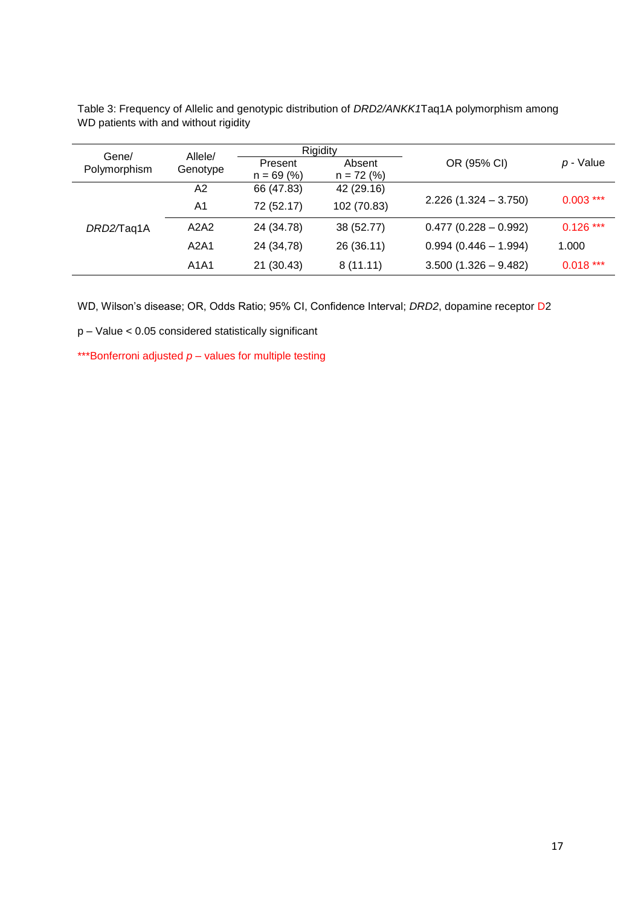| Gene/<br>Polymorphism | Allele/  |              | Rigidity     |                        |             |
|-----------------------|----------|--------------|--------------|------------------------|-------------|
|                       |          | Present      | Absent       | OR (95% CI)            | p - Value   |
|                       | Genotype | $n = 69 (%)$ | $n = 72$ (%) |                        |             |
|                       | A2       | 66 (47.83)   | 42 (29.16)   |                        |             |
|                       | A1       | 72 (52.17)   | 102 (70.83)  | $2.226(1.324 - 3.750)$ | $0.003$ *** |
| DRD2/Taq1A            | A2A2     | 24 (34.78)   | 38 (52.77)   | $0.477(0.228 - 0.992)$ | $0.126***$  |
|                       | A2A1     | 24 (34,78)   | 26 (36.11)   | $0.994(0.446 - 1.994)$ | 1.000       |
|                       | A1A1     | 21 (30.43)   | 8(11.11)     | $3.500(1.326 - 9.482)$ | $0.018***$  |

Table 3: Frequency of Allelic and genotypic distribution of *DRD2/ANKK1*Taq1A polymorphism among WD patients with and without rigidity

WD, Wilson's disease; OR, Odds Ratio; 95% CI, Confidence Interval; *DRD2*, dopamine receptor D2

p – Value < 0.05 considered statistically significant

\*\*\*Bonferroni adjusted  $p -$  values for multiple testing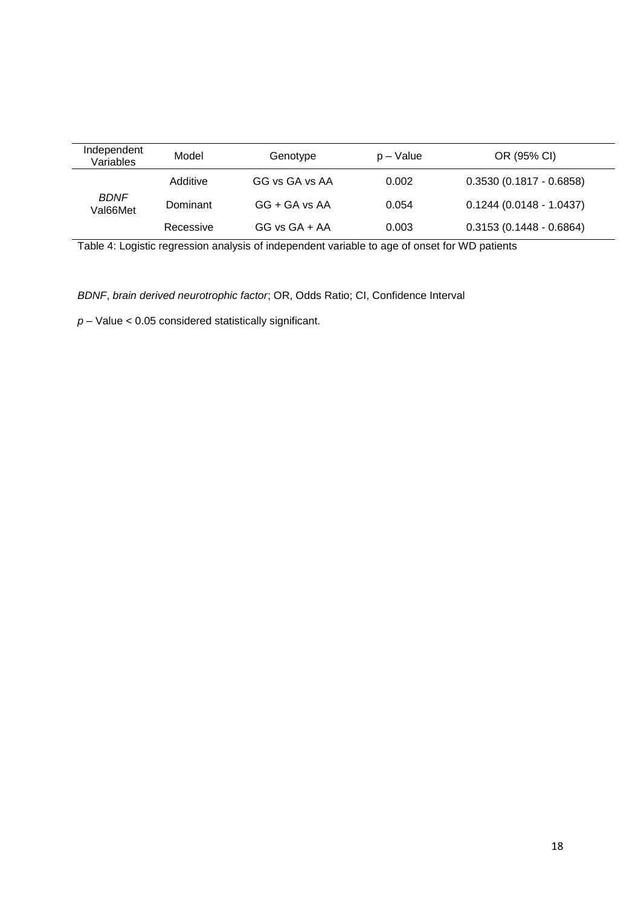| Independent<br>Variables | Model     | Genotype          | p – Value | OR (95% CI)               |
|--------------------------|-----------|-------------------|-----------|---------------------------|
|                          | Additive  | GG vs GA vs AA    | 0.002     | $0.3530(0.1817 - 0.6858)$ |
| <b>BDNF</b><br>Val66Met  | Dominant  | $GG + GA$ vs AA   | 0.054     | $0.1244(0.0148 - 1.0437)$ |
|                          | Recessive | $GG$ vs $GA + AA$ | 0.003     | $0.3153(0.1448 - 0.6864)$ |

Table 4: Logistic regression analysis of independent variable to age of onset for WD patients

*BDNF*, *brain derived neurotrophic factor*; OR, Odds Ratio; CI, Confidence Interval

*p* – Value < 0.05 considered statistically significant.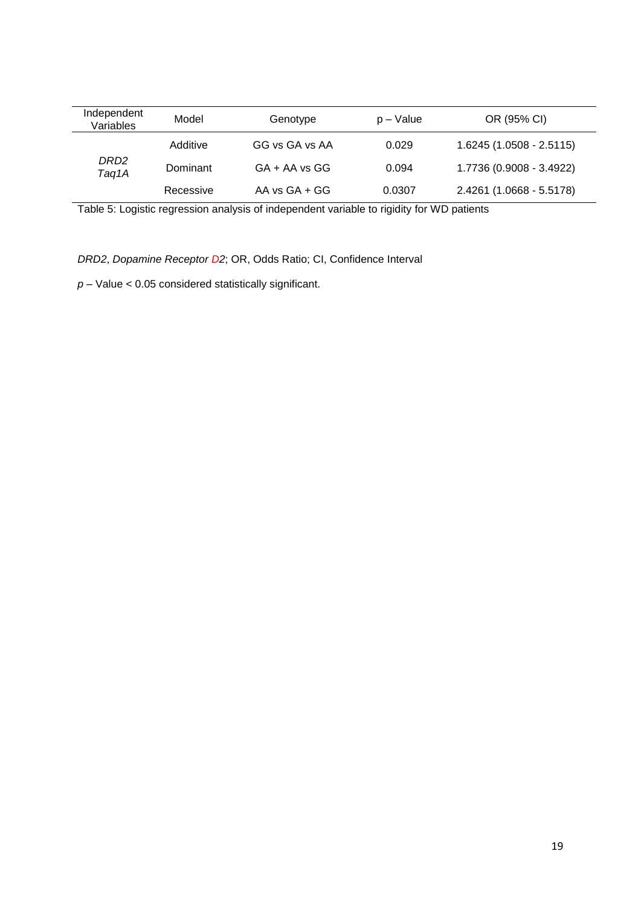| Independent<br>Variables  | Model     | Genotype          | $p - Value$ | OR (95% CI)               |
|---------------------------|-----------|-------------------|-------------|---------------------------|
| DRD <sub>2</sub><br>Taq1A | Additive  | GG vs GA vs AA    | 0.029       | $1.6245(1.0508 - 2.5115)$ |
|                           | Dominant  | $GA + AA$ vs $GG$ | 0.094       | 1.7736 (0.9008 - 3.4922)  |
|                           | Recessive | AA vs $GA + GG$   | 0.0307      | 2.4261 (1.0668 - 5.5178)  |

Table 5: Logistic regression analysis of independent variable to rigidity for WD patients

*DRD2*, *Dopamine Receptor D2*; OR, Odds Ratio; CI, Confidence Interval

*p* – Value < 0.05 considered statistically significant.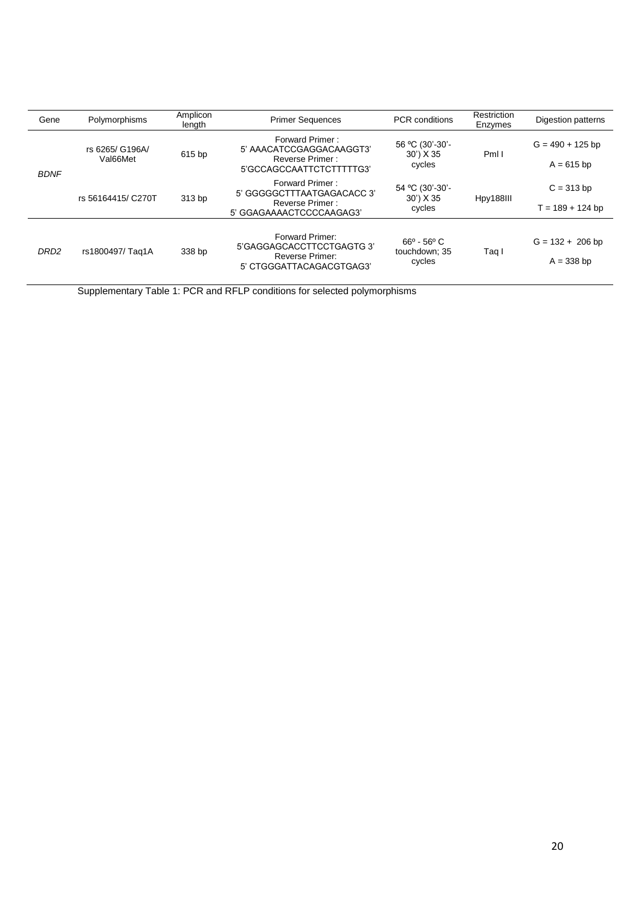| Gene             | Polymorphisms               | Amplicon<br>length                                                                                   | <b>Primer Sequences</b>                                                                      | <b>PCR</b> conditions                                     | Restriction<br>Enzymes | Digestion patterns                 |
|------------------|-----------------------------|------------------------------------------------------------------------------------------------------|----------------------------------------------------------------------------------------------|-----------------------------------------------------------|------------------------|------------------------------------|
| <b>BDNF</b>      | rs 6265/ G196A/<br>Val66Met | Forward Primer:<br>5' AAACATCCGAGGACAAGGT3'<br>615 bp<br>Reverse Primer:<br>5'GCCAGCCAATTCTCTTTTTG3' |                                                                                              | 56 °C (30'-30'-<br>30 <sup>'</sup> ) X 35<br>cycles       | PmI I                  | $G = 490 + 125$ bp<br>$A = 615$ bp |
|                  | rs 56164415/ C270T          | 313 bp                                                                                               | Forward Primer:<br>5' GGGGGCTTTAATGAGACACC 3'<br>Reverse Primer:<br>5' GGAGAAAACTCCCCAAGAG3' | 54 °C (30'-30'-<br>30') X 35<br>cycles                    | Hpy188III              | $C = 313$ bp<br>$T = 189 + 124$ bp |
| DRD <sub>2</sub> | rs1800497/Taq1A             | 338 bp                                                                                               | Forward Primer:<br>5'GAGGAGCACCTTCCTGAGTG 3'<br>Reverse Primer:<br>5' CTGGGATTACAGACGTGAG3'  | $66^{\circ}$ - 56 $^{\circ}$ C<br>touchdown; 35<br>cycles | Taq I                  | $G = 132 + 206$ bp<br>$A = 338$ bp |

Supplementary Table 1: PCR and RFLP conditions for selected polymorphisms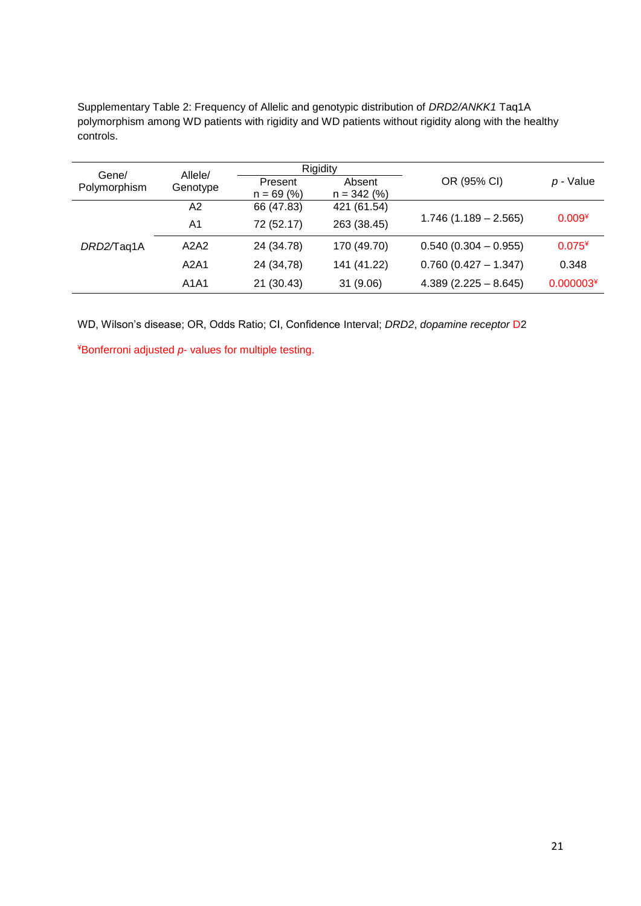Supplementary Table 2: Frequency of Allelic and genotypic distribution of *DRD2/ANKK1* Taq1A polymorphism among WD patients with rigidity and WD patients without rigidity along with the healthy controls.

| Gene/        | Allele/  | Rigidity     |               |                        |             |
|--------------|----------|--------------|---------------|------------------------|-------------|
| Polymorphism | Genotype | Present      | Absent        | OR (95% CI)            | p - Value   |
|              |          | $n = 69 (%)$ | $n = 342$ (%) |                        |             |
| DRD2/Taq1A   | А2       | 66 (47.83)   | 421 (61.54)   |                        |             |
|              | A1       | 72 (52.17)   | 263 (38.45)   | $1.746(1.189 - 2.565)$ | $0.009*$    |
|              | A2A2     | 24 (34.78)   | 170 (49.70)   | $0.540(0.304 - 0.955)$ | $0.075*$    |
|              | A2A1     | 24 (34,78)   | 141 (41.22)   | $0.760(0.427 - 1.347)$ | 0.348       |
|              | A1A1     | 21 (30.43)   | 31 (9.06)     | $4.389(2.225 - 8.645)$ | $0.000003*$ |

WD, Wilson's disease; OR, Odds Ratio; CI, Confidence Interval; *DRD2*, *dopamine receptor* D2

¥Bonferroni adjusted *p*- values for multiple testing.